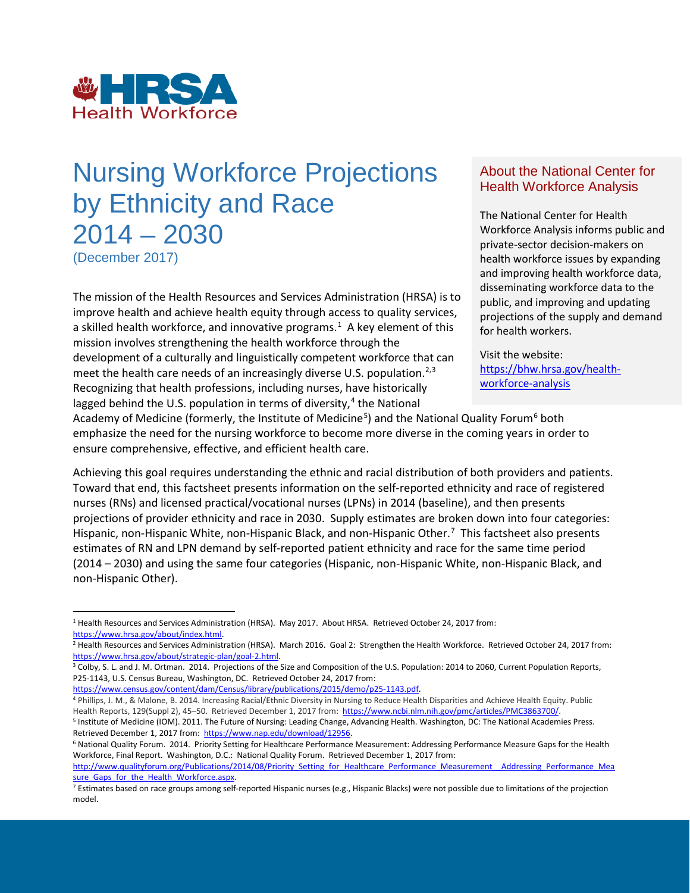

# (December 2017) Nursing Workforce Projections About the National Center by Ethnicity and Race The National Center for Health 2014 – 2030

 The mission of the Health Resources and Services Administration (HRSA) is to improve health and achieve health equity through access to quality services, a skilled health workforce, and innovative programs.<sup>[1](#page-0-0)</sup> A key element of this mission involves strengthening the health workforce through the meet the health care needs of an increasingly diverse U.S. population.<sup>2,3</sup> [https://bhw.hrsa.gov/health](https://bhw.hrsa.gov/health-workforce-analysis) development of a culturally and linguistically competent workforce that can Visit the website:<br>meet the health care needs of an increasingly diverse LLS, population  $2,3$  https://bhw.hrsa.gov/health-Recognizing that health professions, including nurses, have historically **State of the analysis** lagged behind the U.S. population in terms of diversity,<sup>[4](#page-0-3)</sup> the National

# About the National Center for

Workforce Analysis informs public and private-sector decision-makers on health workforce issues by expanding and improving health workforce data, disseminating workforce data to the public, and improving and updating projections of the supply and demand for health workers.

Academy of Medicine (formerly, the Institute of Medicine<sup>[5](#page-0-4)</sup>) and the National Quality Forum<sup>[6](#page-0-5)</sup> both ensure comprehensive, effective, and efficient health care. emphasize the need for the nursing workforce to become more diverse in the coming years in order to

 Toward that end, this factsheet presents information on the self-reported ethnicity and race of registered nurses (RNs) and licensed practical/vocational nurses (LPNs) in 2014 (baseline), and then presents projections of provider ethnicity and race in 2030. Supply estimates are broken down into four categories: projections of provider ethnicity and race in 2030. Supply estimates are broken down into four categories:<br>Hispanic, non-Hispanic White, non-Hispanic Black, and non-Hispanic Other.<sup>7</sup> This factsheet also presents estimates of RN and LPN demand by self-reported patient ethnicity and race for the same time period (2014 – 2030) and using the same four categories (Hispanic, non-Hispanic White, non-Hispanic Black, and Achieving this goal requires understanding the ethnic and racial distribution of both providers and patients. non-Hispanic Other).

https://www.census.gov/content/dam/Census/library/publications/2015/demo/p25-1143.pdf.

<span id="page-0-0"></span> $\overline{a}$ 1 Health Resources and Services Administration (HRSA). May 2017. About HRSA. Retrieved October 24, 2017 from:

<span id="page-0-1"></span><sup>&</sup>lt;u>https://www.hrsa.gov/about/index.html</u>.<br><sup>2</sup> Health Resources and Services Administration (HRSA). March 2016. Goal 2: Strengthen the Health Workforce. Retrieved October 24, 2017 from:

<span id="page-0-2"></span><sup>&</sup>lt;u>https://www.hrsa.gov/about/strategic-plan/goal-2.html</u>.<br><sup>3</sup> Colby, S. L. and J. M. Ortman. 2014. Projections of the Size and Composition of the U.S. Population: 2014 to 2060, Current Population Reports, P25-1143, U.S. Census Bureau, Washington, DC. Retrieved October 24, 2017 from:

<span id="page-0-3"></span>Health Reports, 129(Suppl 2), 45-50. Retrieved December 1, 2017 from: https://www.ncbi.nlm.nih.gov/pmc/articles/PMC3863700/. <sup>4</sup> Phillips, J. M., & Malone, B. 2014. Increasing Racial/Ethnic Diversity in Nursing to Reduce Health Disparities and Achieve Health Equity. Public

<span id="page-0-4"></span><sup>&</sup>lt;sup>5</sup> Institute of Medicine (IOM). 2011. The Future of Nursing: Leading Change, Advancing Health. Washington, DC: The National Academies Press. Retrieved December 1, 2017 from: https://www.nap.edu/download/12956. Health Reports, 129(Suppl 2), 45–50. Retrieved December 1, 2017 from: <u>https://www.ncbi.nlm.nih.gov/pmc/articles/PMC3863700/</u>.<br><sup>5</sup> Institute of Medicine (IOM). 2011[. The Future of Nursing: Leading Change, A](https://www.nap.edu/download/12956)dvancing Health.

<span id="page-0-5"></span>Workforce, Final Report. Washington, D.C.: National Quality Forum. Retrieved December 1, 2017 from:

sure Gaps for the Health Workforce.aspx. <u>sure\_Gaps\_for\_the\_Health\_Workforce.aspx</u>.<br><sup>7</sup> Estimates based on race groups among self-reported Hispanic nurses (e.g., Hispanic Blacks) were not possible due to limitations of the projection http://www.qualityforum.org/Publications/2014/08/Priority Setting for Healthcare Performance Measurement Addressing Performance Mea

<span id="page-0-6"></span>model.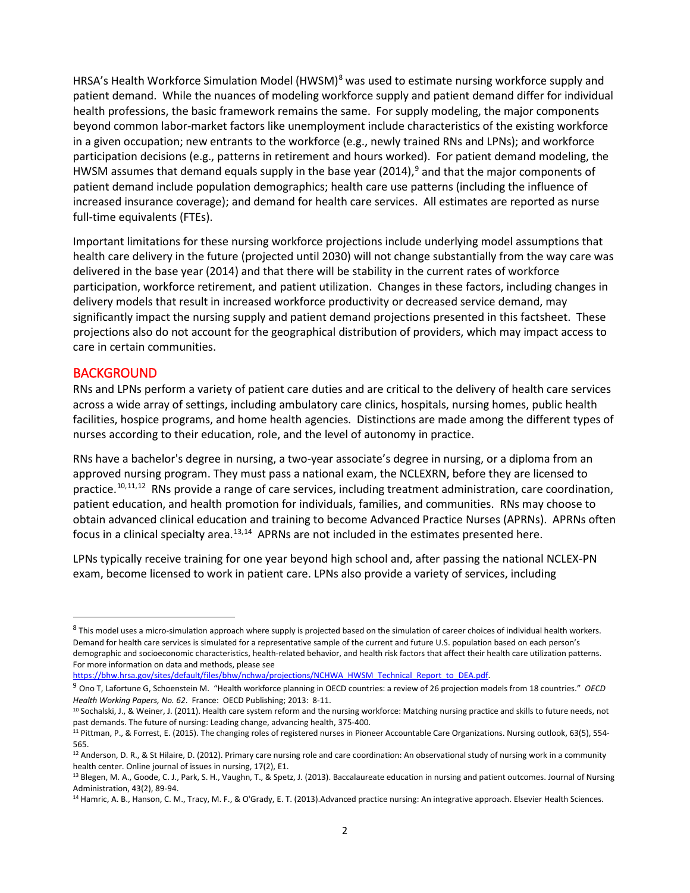patient demand. While the nuances of modeling workforce supply and patient demand differ for individual health professions, the basic framework remains the same. For supply modeling, the major components in a given occupation; new entrants to the workforce (e.g., newly trained RNs and LPNs); and workforce participation decisions (e.g., patterns in retirement and hours worked). For patient demand modeling, the HWSM assumes that demand equals supply in the base year (2014),<sup>9</sup> and that the major components of patient demand include population demographics; health care use patterns (including the influence of increased insurance coverage); and demand for health care services. All estimates are reported as nurse full-time equivalents (FTEs). HRSA's Health Workforce Simulation Model (HWSM)<sup>[8](#page-1-0)</sup> was used to estimate nursing workforce supply and beyond common labor-market factors like unemployment include characteristics of the existing workforce

 Important limitations for these nursing workforce projections include underlying model assumptions that health care delivery in the future (projected until 2030) will not change substantially from the way care was delivery models that result in increased workforce productivity or decreased service demand, may significantly impact the nursing supply and patient demand projections presented in this factsheet. These delivered in the base year (2014) and that there will be stability in the current rates of workforce participation, workforce retirement, and patient utilization. Changes in these factors, including changes in projections also do not account for the geographical distribution of providers, which may impact access to care in certain communities.

#### **BACKGROUND**

 $\overline{a}$ 

 RNs and LPNs perform a variety of patient care duties and are critical to the delivery of health care services facilities, hospice programs, and home health agencies. Distinctions are made among the different types of nurses according to their education, role, and the level of autonomy in practice. across a wide array of settings, including ambulatory care clinics, hospitals, nursing homes, public health

practice.<sup>[10,](#page-1-2)[11](#page-1-3),[12](#page-1-4)</sup> RNs provide a range of care services, including treatment administration, care coordination, patient education, and health promotion for individuals, families, and communities. RNs may choose to obtain advanced clinical education and training to become Advanced Practice Nurses (APRNs). APRNs often focus in a clinical specialty area. $13,14$  $13,14$  APRNs are not included in the estimates presented here. RNs have a bachelor's degree in nursing, a two-year associate's degree in nursing, or a diploma from an approved nursing program. They must pass a national exam, the NCLEXRN, before they are licensed to

LPNs typically receive training for one year beyond high school and, after passing the national NCLEX-PN exam, become licensed to work in patient care. LPNs also provide a variety of services, including

<span id="page-1-0"></span><sup>&</sup>lt;sup>8</sup> This model uses a micro-simulation approach where supply is projected based on the simulation of career choices of individual health workers.<br>Demand for health care services is simulated for a representative sample of demographic and socioeconomic characteristics, health-related behavior, and health risk factors that affect their health care utilization patterns. For more information on data and methods, please see

<span id="page-1-1"></span>[https://bhw.hrsa.gov/sites/default/files/bhw/nchwa/projections/NCHWA\\_HWSM\\_Technical\\_Report\\_to\\_DEA.pdf.](https://bhw.hrsa.gov/sites/default/files/bhw/nchwa/projections/NCHWA_HWSM_Technical_Report_to_DEA.pdf)

 9 Ono T, Lafortune G, Schoenstein M. "Health workforce planning in OECD countries: a review of 26 projection models from 18 countries." *OECD Health Working Papers, No. 62*. France: OECD Publishing; 2013: 8-11.<br><sup>10</sup> Sochalski, J., & Weiner, J. (2011). Health care system reform and the nursing workforce: Matching nursing practice and skills to future needs, not

<span id="page-1-2"></span>

<span id="page-1-3"></span>past demands. The future of nursing: Leading change, advancing health, 375-400.<br><sup>11</sup> Pittman, P., & Forrest, E. (2015). The changing roles of registered nurses in Pioneer Accountable Care Organizations. Nursing outlook, 63 565.

<span id="page-1-4"></span><sup>&</sup>lt;sup>12</sup> Anderson, D. R., & St Hilaire, D. (2012). Primary care nursing role and care coordination: An observational study of nursing work in a community

<span id="page-1-5"></span>health center. Online journal of issues in nursing, 17(2), E1.<br><sup>13</sup> Blegen, M. A., Goode, C. J., Park, S. H., Vaughn, T., & Spetz, J. (2013). Baccalaureate education in nursing and patient outcomes. Journal of Nursing Administration, 43(2), 89-94.<br><sup>14</sup> Hamric, A. B., Hanson, C. M., Tracy, M. F., & O'Grady, E. T. (2013).Advanced practice nursing: An integrative approach. Elsevier Health Sciences.

<span id="page-1-6"></span>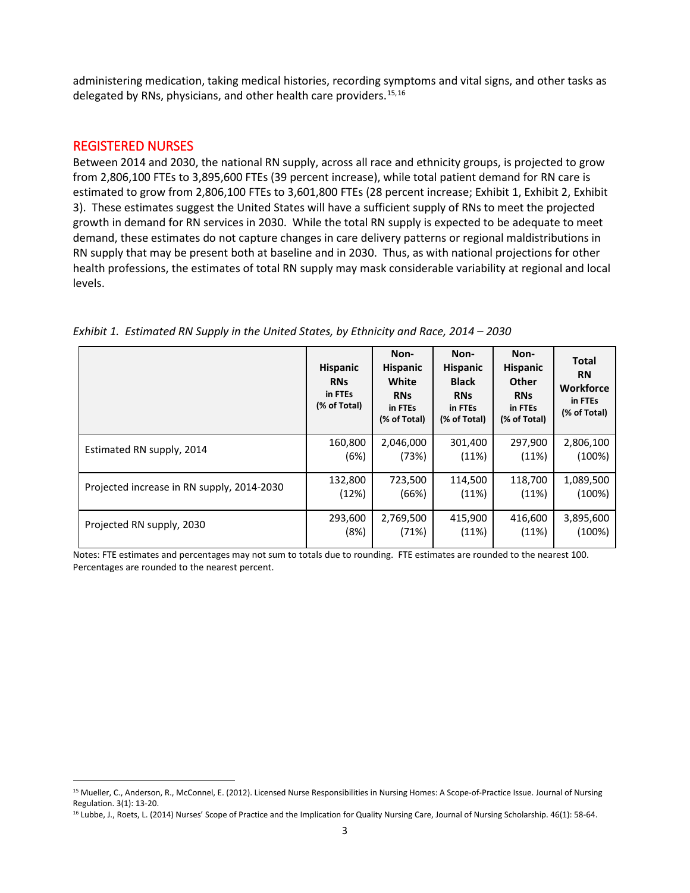administering medication, taking medical histories, recording symptoms and vital signs, and other tasks as delegated by RNs, physicians, and other health care providers.<sup>[15,](#page-2-0)16</sup>

#### REGISTERED NURSES

 $\overline{a}$ 

 Between 2014 and 2030, the national RN supply, across all race and ethnicity groups, is projected to grow from 2,806,100 FTEs to 3,895,600 FTEs (39 percent increase), while total patient demand for RN care is estimated to grow from 2,806,100 FTEs to 3,601,800 FTEs (28 percent increase; Exhibit 1, Exhibit 2, Exhibit growth in demand for RN services in 2030. While the total RN supply is expected to be adequate to meet demand, these estimates do not capture changes in care delivery patterns or regional maldistributions in RN supply that may be present both at baseline and in 2030. Thus, as with national projections for other health professions, the estimates of total RN supply may mask considerable variability at regional and local 3). These estimates suggest the United States will have a sufficient supply of RNs to meet the projected levels.

|  |                                            | <b>Hispanic</b><br><b>RNs</b><br>in FTEs<br>(% of Total) | Non-<br><b>Hispanic</b><br>White<br><b>RNs</b><br>in FTEs<br>(% of Total) | Non-<br><b>Hispanic</b><br><b>Black</b><br><b>RNs</b><br>in FTEs<br>(% of Total) | Non-<br>Hispanic<br><b>Other</b><br><b>RNs</b><br>in FTEs<br>(% of Total) | <b>Total</b><br><b>RN</b><br><b>Workforce</b><br>in FTEs<br>(% of Total) |
|--|--------------------------------------------|----------------------------------------------------------|---------------------------------------------------------------------------|----------------------------------------------------------------------------------|---------------------------------------------------------------------------|--------------------------------------------------------------------------|
|  | Estimated RN supply, 2014                  | 160,800<br>(6%)                                          | 2,046,000<br>(73%)                                                        | 301,400<br>(11%)                                                                 | 297,900<br>(11%)                                                          | 2,806,100<br>(100%)                                                      |
|  | Projected increase in RN supply, 2014-2030 | 132,800<br>(12%)                                         | 723,500<br>(66%)                                                          | 114,500<br>(11%)                                                                 | 118,700<br>(11%)                                                          | 1,089,500<br>(100%)                                                      |
|  | Projected RN supply, 2030                  | 293,600<br>(8%)                                          | 2,769,500<br>(71%)                                                        | 415,900<br>(11%)                                                                 | 416,600<br>(11%)                                                          | 3,895,600<br>(100%)                                                      |

 *Exhibit 1. Estimated RN Supply in the United States, by Ethnicity and Race, 2014 – 2030* 

 Notes: FTE estimates and percentages may not sum to totals due to rounding. FTE estimates are rounded to the nearest 100. Percentages are rounded to the nearest percent.

<span id="page-2-0"></span><sup>15</sup> Mueller, C., Anderson, R., McConnel, E. (2012). Licensed Nurse Responsibilities in Nursing Homes: A Scope-of-Practice Issue. Journal of Nursing

<span id="page-2-1"></span>Regulation. 3(1): 13-20.<br><sup>16</sup> Lubbe, J., Roets, L. (2014) Nurses' Scope of Practice and the Implication for Quality Nursing Care, Journal of Nursing Scholarship. 46(1): 58-64.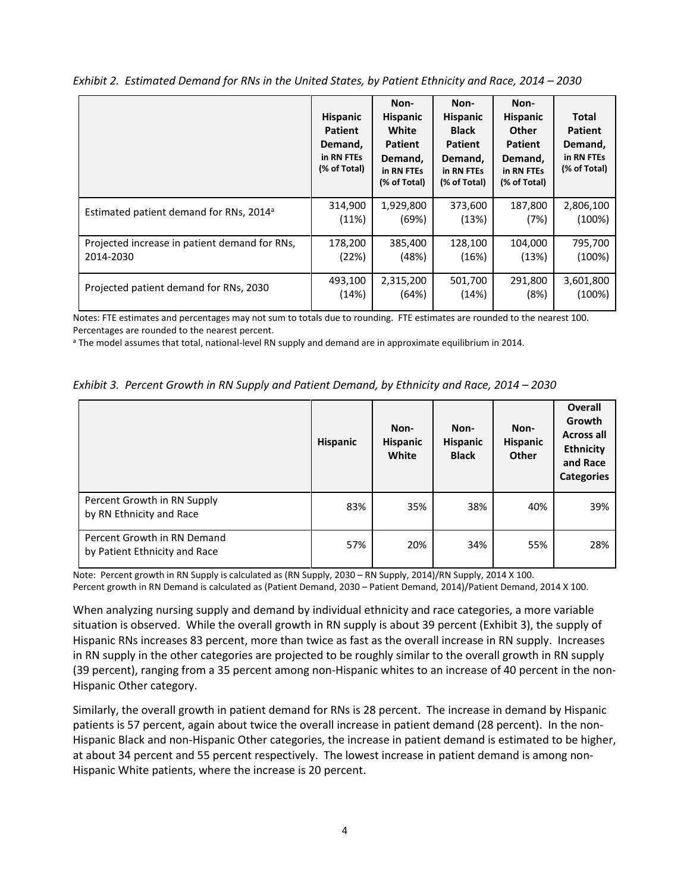|                                                     | <b>Hispanic</b><br><b>Patient</b><br>Demand,<br>in RN FTEs<br>(% of Total) | Non-<br><b>Hispanic</b><br>White<br><b>Patient</b><br>Demand,<br>in RN FTEs<br>(% of Total) | Non-<br><b>Hispanic</b><br><b>Black</b><br><b>Patient</b><br>Demand,<br>in RN FTEs<br>(% of Total) | Non-<br><b>Hispanic</b><br><b>Other</b><br><b>Patient</b><br>Demand,<br>in RN FTEs<br>(% of Total) | Total<br><b>Patient</b><br>Demand,<br>in RN FTEs<br>(% of Total) |
|-----------------------------------------------------|----------------------------------------------------------------------------|---------------------------------------------------------------------------------------------|----------------------------------------------------------------------------------------------------|----------------------------------------------------------------------------------------------------|------------------------------------------------------------------|
| Estimated patient demand for RNs, 2014 <sup>a</sup> | 314,900                                                                    | 1,929,800                                                                                   | 373,600                                                                                            | 187,800                                                                                            | 2,806,100                                                        |
|                                                     | (11%)                                                                      | (69%)                                                                                       | (13%)                                                                                              | (7%)                                                                                               | (100%)                                                           |
| Projected increase in patient demand for RNs,       | 178,200                                                                    | 385,400                                                                                     | 128,100                                                                                            | 104,000                                                                                            | 795,700                                                          |
| 2014-2030                                           | (22%)                                                                      | (48%)                                                                                       | (16%)                                                                                              | (13%)                                                                                              | (100%)                                                           |
| Projected patient demand for RNs, 2030              | 493,100                                                                    | 2,315,200                                                                                   | 501,700                                                                                            | 291,800                                                                                            | 3,601,800                                                        |
|                                                     | (14%)                                                                      | (64%)                                                                                       | (14%)                                                                                              | (8%)                                                                                               | (100%)                                                           |

 *Exhibit 2. Estimated Demand for RNs in the United States, by Patient Ethnicity and Race, 2014 – 2030* 

 Notes: FTE estimates and percentages may not sum to totals due to rounding. FTE estimates are rounded to the nearest 100. Percentages are rounded to the nearest percent.

<sup>a</sup> The model assumes that total, national-level RN supply and demand are in approximate equilibrium in 2014.

*Exhibit 3. Percent Growth in RN Supply and Patient Demand, by Ethnicity and Race, 2014 – 2030* 

|                                                              | <b>Hispanic</b> | Non-<br><b>Hispanic</b><br>White | Non-<br><b>Hispanic</b><br><b>Black</b> | Non-<br>Hispanic<br><b>Other</b> | <b>Overall</b><br>Growth<br><b>Across all</b><br><b>Ethnicity</b><br>and Race<br><b>Categories</b> |
|--------------------------------------------------------------|-----------------|----------------------------------|-----------------------------------------|----------------------------------|----------------------------------------------------------------------------------------------------|
| Percent Growth in RN Supply<br>by RN Ethnicity and Race      | 83%             | 35%                              | 38%                                     | 40%                              | 39%                                                                                                |
| Percent Growth in RN Demand<br>by Patient Ethnicity and Race | 57%             | 20%                              | 34%                                     | 55%                              | 28%                                                                                                |

 Note: Percent growth in RN Supply is calculated as (RN Supply, 2030 – RN Supply, 2014)/RN Supply, 2014 X 100. Percent growth in RN Demand is calculated as (Patient Demand, 2030 – Patient Demand, 2014)/Patient Demand, 2014 X 100.

 When analyzing nursing supply and demand by individual ethnicity and race categories, a more variable situation is observed. While the overall growth in RN supply is about 39 percent (Exhibit 3), the supply of Hispanic RNs increases 83 percent, more than twice as fast as the overall increase in RN supply. Increases in RN supply in the other categories are projected to be roughly similar to the overall growth in RN supply (39 percent), ranging from a 35 percent among non-Hispanic whites to an increase of 40 percent in the non-Hispanic Other category.

 Similarly, the overall growth in patient demand for RNs is 28 percent. The increase in demand by Hispanic at about 34 percent and 55 percent respectively. The lowest increase in patient demand is among nonpatients is 57 percent, again about twice the overall increase in patient demand (28 percent). In the non-Hispanic Black and non-Hispanic Other categories, the increase in patient demand is estimated to be higher, Hispanic White patients, where the increase is 20 percent.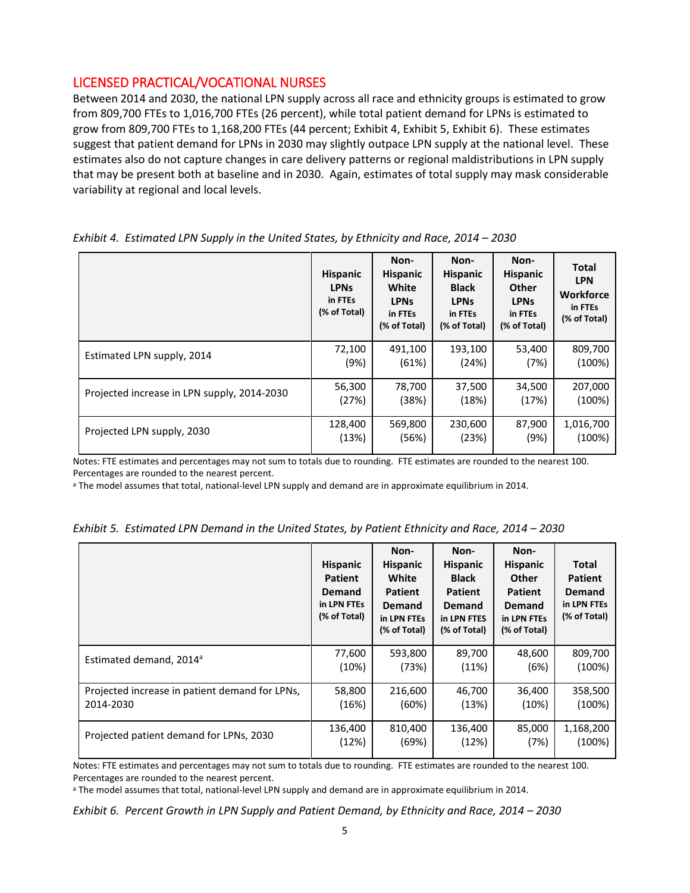## LICENSED PRACTICAL/VOCATIONAL NURSES

 from 809,700 FTEs to 1,016,700 FTEs (26 percent), while total patient demand for LPNs is estimated to suggest that patient demand for LPNs in 2030 may slightly outpace LPN supply at the national level. These estimates also do not capture changes in care delivery patterns or regional maldistributions in LPN supply that may be present both at baseline and in 2030. Again, estimates of total supply may mask considerable variability at regional and local levels. Between 2014 and 2030, the national LPN supply across all race and ethnicity groups is estimated to grow grow from 809,700 FTEs to 1,168,200 FTEs (44 percent; Exhibit 4, Exhibit 5, Exhibit 6). These estimates

|                                             | <b>Hispanic</b><br><b>LPNs</b><br>in FTEs<br>(% of Total) | Non-<br><b>Hispanic</b><br>White<br><b>LPNs</b><br>in FTEs<br>(% of Total) | Non-<br><b>Hispanic</b><br><b>Black</b><br><b>LPNs</b><br>in FTEs<br>(% of Total) | Non-<br><b>Hispanic</b><br><b>Other</b><br><b>LPNs</b><br>in FTEs<br>(% of Total) | Total<br><b>LPN</b><br><b>Workforce</b><br>in FTEs<br>(% of Total) |
|---------------------------------------------|-----------------------------------------------------------|----------------------------------------------------------------------------|-----------------------------------------------------------------------------------|-----------------------------------------------------------------------------------|--------------------------------------------------------------------|
| Estimated LPN supply, 2014                  | 72,100                                                    | 491,100                                                                    | 193,100                                                                           | 53,400                                                                            | 809,700                                                            |
|                                             | (9%)                                                      | (61%)                                                                      | (24%)                                                                             | (7%)                                                                              | (100%)                                                             |
| Projected increase in LPN supply, 2014-2030 | 56,300                                                    | 78,700                                                                     | 37,500                                                                            | 34,500                                                                            | 207,000                                                            |
|                                             | (27%)                                                     | (38%)                                                                      | (18%)                                                                             | (17%)                                                                             | (100%)                                                             |
| Projected LPN supply, 2030                  | 128,400                                                   | 569,800                                                                    | 230,600                                                                           | 87,900                                                                            | 1,016,700                                                          |
|                                             | (13%)                                                     | (56%)                                                                      | (23%)                                                                             | (9%)                                                                              | (100%)                                                             |

|  | Exhibit 4. Estimated LPN Supply in the United States, by Ethnicity and Race, 2014 - 2030 |  |  |
|--|------------------------------------------------------------------------------------------|--|--|
|--|------------------------------------------------------------------------------------------|--|--|

 Notes: FTE estimates and percentages may not sum to totals due to rounding. FTE estimates are rounded to the nearest 100. Percentages are rounded to the nearest percent.

<sup>a</sup> The model assumes that total, national-level LPN supply and demand are in approximate equilibrium in 2014.

|  | Exhibit 5. Estimated LPN Demand in the United States, by Patient Ethnicity and Race, 2014 – 2030 |  |  |  |  |  |  |  |
|--|--------------------------------------------------------------------------------------------------|--|--|--|--|--|--|--|
|--|--------------------------------------------------------------------------------------------------|--|--|--|--|--|--|--|

|                                                | <b>Hispanic</b><br><b>Patient</b><br><b>Demand</b><br>in LPN FTEs<br>(% of Total) | Non-<br><b>Hispanic</b><br>White<br><b>Patient</b><br>Demand<br>in LPN FTEs<br>(% of Total) | Non-<br><b>Hispanic</b><br><b>Black</b><br><b>Patient</b><br><b>Demand</b><br>in LPN FTES<br>(% of Total) | Non-<br><b>Hispanic</b><br><b>Other</b><br><b>Patient</b><br>Demand<br>in LPN FTEs<br>(% of Total) | Total<br><b>Patient</b><br><b>Demand</b><br>in LPN FTEs<br>(% of Total) |
|------------------------------------------------|-----------------------------------------------------------------------------------|---------------------------------------------------------------------------------------------|-----------------------------------------------------------------------------------------------------------|----------------------------------------------------------------------------------------------------|-------------------------------------------------------------------------|
| Estimated demand, 2014 <sup>a</sup>            | 77,600                                                                            | 593,800                                                                                     | 89,700                                                                                                    | 48,600                                                                                             | 809,700                                                                 |
|                                                | (10%)                                                                             | (73%)                                                                                       | (11%)                                                                                                     | (6%)                                                                                               | (100%)                                                                  |
| Projected increase in patient demand for LPNs, | 58,800                                                                            | 216,600                                                                                     | 46,700                                                                                                    | 36,400                                                                                             | 358,500                                                                 |
| 2014-2030                                      | (16%)                                                                             | (60%)                                                                                       | (13%)                                                                                                     | (10%)                                                                                              | (100%)                                                                  |
| Projected patient demand for LPNs, 2030        | 136,400                                                                           | 810,400                                                                                     | 136,400                                                                                                   | 85,000                                                                                             | 1,168,200                                                               |
|                                                | (12%)                                                                             | (69%)                                                                                       | (12%)                                                                                                     | (7%)                                                                                               | (100%)                                                                  |

 Notes: FTE estimates and percentages may not sum to totals due to rounding. FTE estimates are rounded to the nearest 100. Percentages are rounded to the nearest percent.

<sup>a</sup> The model assumes that total, national-level LPN supply and demand are in approximate equilibrium in 2014.

*Exhibit 6. Percent Growth in LPN Supply and Patient Demand, by Ethnicity and Race, 2014 – 2030*